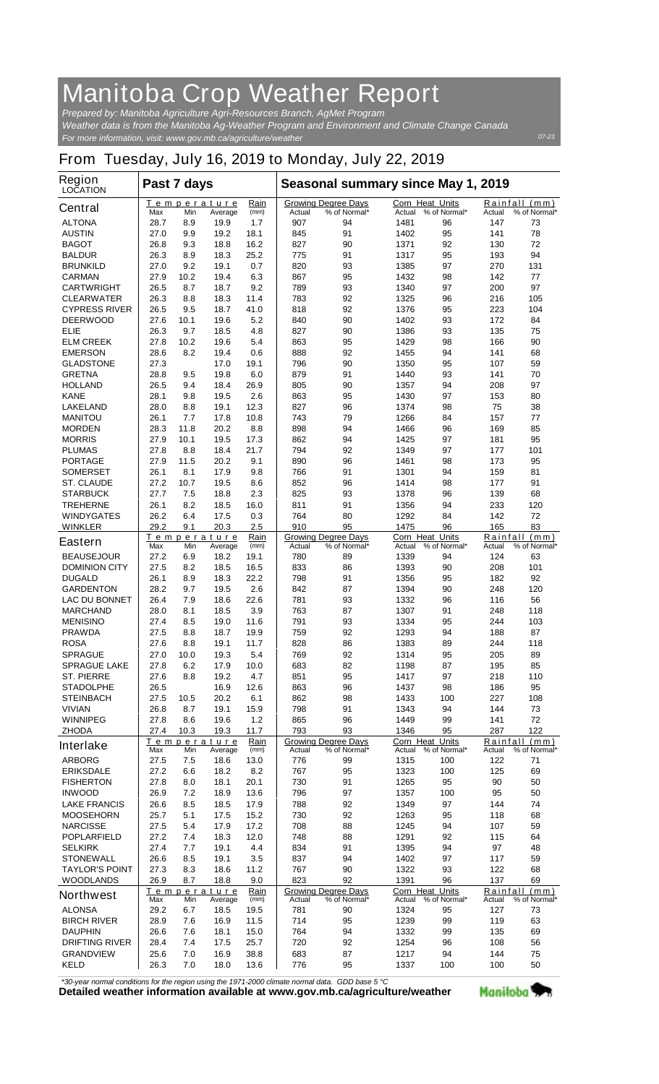## **Manitoba Crop Weather Report**

*For more information, visit: www.gov.mb.ca/agriculture/weather Prepared by: Manitoba Agriculture Agri-Resources Branch, AgMet Program Weather data is from the Manitoba Ag-Weather Program and Environment and Climate Change Canada*

## **From Tuesday, July 16, 2019 to Monday, July 22, 2019**

| Region<br><b>LOCATION</b> | Past 7 days                                  |      |                       |                                  | Seasonal summary since May 1, 2019 |                                            |                                  |                        |          |                               |
|---------------------------|----------------------------------------------|------|-----------------------|----------------------------------|------------------------------------|--------------------------------------------|----------------------------------|------------------------|----------|-------------------------------|
| <b>Central</b>            | Т<br>Max                                     | Min  | emperature<br>Average | Rain<br>(mm)                     | Actual                             | <b>Growing Degree Days</b><br>% of Normal* | <b>Corn Heat Units</b><br>Actual | % of Normal*           | Actual   | Rainfall (mm)<br>% of Normal* |
| <b>ALTONA</b>             | 28.7                                         | 8.9  | 19.9                  | 1.7                              | 907                                | 94                                         | 1481                             | 96                     | 147      | 73                            |
| <b>AUSTIN</b>             | 27.0                                         | 9.9  | 19.2                  | 18.1                             | 845                                | 91                                         | 1402                             | 95                     | 141      | 78                            |
| <b>BAGOT</b>              | 26.8                                         | 9.3  | 18.8                  | 16.2                             | 827                                | 90                                         | 1371                             | 92                     | 130      | 72                            |
| <b>BALDUR</b>             | 26.3                                         | 8.9  | 18.3                  | 25.2                             | 775                                | 91                                         | 1317                             | 95                     | 193      | 94                            |
| <b>BRUNKILD</b>           | 27.0                                         | 9.2  | 19.1                  | 0.7                              | 820                                | 93                                         | 1385                             | 97                     | 270      | 131                           |
| <b>CARMAN</b>             | 27.9                                         | 10.2 | 19.4                  | 6.3                              | 867                                | 95                                         | 1432                             | 98                     | 142      | 77                            |
| <b>CARTWRIGHT</b>         | 26.5                                         | 8.7  | 18.7                  | 9.2                              | 789                                | 93                                         | 1340                             | 97                     | 200      | 97                            |
| <b>CLEARWATER</b>         | 26.3                                         | 8.8  | 18.3                  | 11.4                             | 783                                | 92                                         | 1325                             | 96                     | 216      | 105                           |
| <b>CYPRESS RIVER</b>      | 26.5                                         | 9.5  | 18.7                  | 41.0                             | 818                                | 92                                         | 1376                             | 95                     | 223      | 104                           |
| <b>DEERWOOD</b>           | 27.6                                         | 10.1 | 19.6                  | 5.2                              | 840                                | 90                                         | 1402                             | 93                     | 172      | 84                            |
| ELIE                      | 26.3                                         | 9.7  | 18.5                  | 4.8                              | 827                                | 90                                         | 1386                             | 93                     | 135      | 75                            |
| <b>ELM CREEK</b>          | 27.8                                         | 10.2 | 19.6                  | 5.4                              | 863                                | 95                                         | 1429                             | 98                     | 166      | 90                            |
| <b>EMERSON</b>            | 28.6                                         | 8.2  | 19.4                  | 0.6                              | 888                                | 92                                         | 1455                             | 94                     | 141      | 68                            |
| <b>GLADSTONE</b>          | 27.3                                         |      | 17.0                  | 19.1                             | 796                                | 90                                         | 1350                             | 95                     | 107      | 59                            |
| <b>GRETNA</b>             | 28.8                                         | 9.5  | 19.8                  | 6.0                              | 879                                | 91                                         | 1440                             | 93                     | 141      | 70                            |
| <b>HOLLAND</b>            | 26.5                                         | 9.4  | 18.4                  | 26.9                             | 805                                | 90                                         | 1357                             | 94                     | 208      | 97                            |
| <b>KANE</b>               | 28.1                                         | 9.8  | 19.5                  | 2.6                              | 863                                | 95                                         | 1430                             | 97                     | 153      | 80                            |
| <b>LAKELAND</b>           | 28.0                                         | 8.8  | 19.1                  | 12.3                             | 827                                | 96                                         | 1374                             | 98                     | 75       | 38                            |
| <b>MANITOU</b>            | 26.1                                         | 7.7  | 17.8                  | 10.8                             | 743                                | 79                                         | 1266                             | 84                     | 157      | 77                            |
| <b>MORDEN</b>             | 28.3                                         | 11.8 | 20.2                  | 8.8                              | 898                                | 94                                         | 1466                             | 96                     | 169      | 85                            |
| <b>MORRIS</b>             | 27.9                                         | 10.1 | 19.5                  | 17.3                             | 862                                | 94                                         | 1425                             | 97                     | 181      | 95                            |
| <b>PLUMAS</b>             | 27.8                                         | 8.8  | 18.4                  | 21.7                             | 794                                | 92                                         | 1349                             | 97                     | 177      | 101                           |
| <b>PORTAGE</b>            | 27.9                                         | 11.5 | 20.2                  | 9.1                              | 890                                | 96                                         | 1461                             | 98                     | 173      | 95                            |
| <b>SOMERSET</b>           | 26.1                                         | 8.1  | 17.9                  | 9.8                              | 766                                | 91                                         | 1301                             | 94                     | 159      | 81                            |
| <b>ST. CLAUDE</b>         | 27.2                                         | 10.7 | 19.5                  | 8.6                              | 852                                | 96                                         | 1414                             | 98                     | 177      | 91                            |
| <b>STARBUCK</b>           | 27.7                                         | 7.5  | 18.8                  | 2.3                              | 825                                | 93                                         | 1378                             | 96                     | 139      | 68                            |
| <b>TREHERNE</b>           | 26.1                                         | 8.2  | 18.5                  | 16.0                             | 811                                | 91                                         | 1356                             | 94                     | 233      | 120                           |
| <b>WINDYGATES</b>         | 26.2                                         | 6.4  | 17.5                  | 0.3                              | 764                                | 80                                         | 1292                             | 84                     | 142      | 72                            |
| <b>WINKLER</b>            | 29.2                                         | 9.1  | 20.3                  | 2.5                              | 910                                | 95                                         | 1475                             | 96                     | 165      | 83                            |
|                           |                                              |      | Temperature           | Rain                             |                                    | <b>Growing Degree Days</b>                 | <b>Corn Heat Units</b>           |                        |          | Rainfall (mm)                 |
| <b>Eastern</b>            | Max                                          | Min  | Average               | (mm)                             | Actual                             | % of Normal*                               | Actual                           | % of Normal*           | Actual   | % of Normal*                  |
| <b>BEAUSEJOUR</b>         | 27.2                                         | 6.9  | 18.2                  | 19.1                             | 780                                | 89                                         | 1339                             | 94                     | 124      | 63                            |
| <b>DOMINION CITY</b>      | 27.5                                         | 8.2  | 18.5                  | 16.5                             | 833                                | 86                                         | 1393                             | 90                     | 208      | 101                           |
| <b>DUGALD</b>             | 26.1                                         | 8.9  | 18.3                  | 22.2                             | 798                                | 91                                         | 1356                             | 95                     | 182      | 92                            |
| <b>GARDENTON</b>          | 28.2                                         | 9.7  | 19.5                  | 2.6                              | 842                                | 87                                         | 1394                             | 90                     | 248      | 120                           |
| <b>LAC DU BONNET</b>      | 26.4                                         | 7.9  | 18.6                  | 22.6                             | 781                                | 93                                         | 1332                             | 96                     | 116      | 56                            |
| <b>MARCHAND</b>           | 28.0                                         | 8.1  | 18.5                  | 3.9                              | 763                                | 87                                         | 1307                             | 91                     | 248      | 118                           |
| <b>MENISINO</b>           | 27.4                                         | 8.5  | 19.0                  | 11.6                             | 791                                | 93                                         | 1334                             | 95                     | 244      | 103                           |
| <b>PRAWDA</b>             | 27.5                                         | 8.8  | 18.7                  | 19.9                             | 759                                | 92                                         | 1293                             | 94                     | 188      | 87                            |
| <b>ROSA</b>               | 27.6                                         | 8.8  | 19.1                  | 11.7                             | 828                                | 86                                         | 1383                             | 89                     | 244      | 118                           |
| <b>SPRAGUE</b>            | 27.0                                         | 10.0 | 19.3                  | 5.4                              | 769                                | 92                                         | 1314                             | 95                     | 205      | 89                            |
| <b>SPRAGUE LAKE</b>       | 27.8                                         | 6.2  | 17.9                  | 10.0                             | 683                                | 82                                         | 1198                             | 87                     | 195      | 85                            |
| <b>ST. PIERRE</b>         | 27.6                                         | 8.8  | 19.2                  | 4.7                              | 851                                | 95                                         | 1417                             | 97                     | 218      | 110                           |
| <b>STADOLPHE</b>          | 26.5                                         |      | 16.9                  | 12.6                             | 863                                | 96                                         | 1437                             | 98                     | 186      | 95                            |
| <b>STEINBACH</b>          | 27.5                                         | 10.5 | 20.2                  | 6.1                              | 862                                | 98                                         | 1433                             | 100                    | 227      | 108                           |
| <b>VIVIAN</b>             | 26.8                                         | 8.7  | 19.1                  | 15.9                             | 798                                | 91                                         | 1343                             | 94                     | 144      | 73                            |
| <b>WINNIPEG</b>           | 27.8                                         | 8.6  | 19.6                  | $1.2$                            | 865                                | 96                                         | 1449                             | 99                     | 141      | 72                            |
| <b>ZHODA</b>              | 27.4                                         | 10.3 | 19.3                  | 11.7                             | 793                                | 93                                         | 1346                             | 95                     | 287      | 122                           |
|                           |                                              |      | Temperature           | Rain                             |                                    | <b>Growing Degree Days</b>                 | Corn Heat Units                  |                        |          | Rainfall (mm)                 |
| <b>Interlake</b>          | Max                                          | Min  | Average               | (mm)                             | Actual                             | % of Normal*                               |                                  | Actual % of Normal*    | Actual   | % of Normal*                  |
| <b>ARBORG</b>             | 27.5                                         | 7.5  | 18.6                  | 13.0                             | 776                                | 99                                         | 1315                             | 100                    | 122      | 71                            |
| <b>ERIKSDALE</b>          | 27.2                                         | 6.6  | 18.2                  | 8.2                              | 767                                | 95                                         | 1323                             | 100                    | 125      | 69                            |
| <b>FISHERTON</b>          | 27.8                                         | 8.0  | 18.1                  | 20.1                             | 730                                | 91                                         | 1265                             | 95                     | 90       | 50                            |
| <b>INWOOD</b>             | 26.9                                         | 7.2  | 18.9                  | 13.6                             | 796                                | 97                                         | 1357                             | 100                    | 95       | 50                            |
| <b>LAKE FRANCIS</b>       | 26.6                                         | 8.5  | 18.5                  | 17.9                             | 788                                | 92                                         | 1349                             | 97                     | 144      | 74                            |
| <b>MOOSEHORN</b>          | 25.7                                         | 5.1  | 17.5                  | 15.2                             | 730                                | 92                                         | 1263                             | 95                     | 118      | 68                            |
| <b>NARCISSE</b>           | 27.5                                         | 5.4  | 17.9                  | 17.2                             | 708                                | 88                                         | 1245                             | 94                     | 107      | 59                            |
| <b>POPLARFIELD</b>        | 27.2                                         | 7.4  | 18.3                  | 12.0                             | 748                                | 88                                         | 1291                             | 92                     | 115      | 64                            |
| <b>SELKIRK</b>            | 27.4                                         | 7.7  | 19.1                  | 4.4                              | 834                                | 91                                         | 1395                             | 94                     | 97       | 48                            |
| <b>STONEWALL</b>          | 26.6                                         | 8.5  | 19.1                  | 3.5                              | 837                                | 94                                         | 1402                             | 97                     | 117      | 59                            |
| <b>TAYLOR'S POINT</b>     | 27.3                                         | 8.3  | 18.6                  | 11.2                             | 767                                | 90                                         | 1322                             | 93                     | 122      | 68                            |
| <b>WOODLANDS</b>          | 26.9                                         | 8.7  | 18.8                  | 9.0                              | 823                                | 92                                         | 1391                             | 96                     | 137      | 69                            |
|                           |                                              |      |                       | Rain                             |                                    | <b>Growing Degree Days</b>                 | Corn Heat Units                  |                        | Rainfall | $\frac{(mm)}{m}$              |
| <b>Northwest</b>          | Temperature<br>Min<br>(mm)<br>Max<br>Average |      |                       | % of Normal*<br>Actual<br>Actual |                                    |                                            | % of Normal*                     | Actual<br>% of Normal* |          |                               |
| <b>ALONSA</b>             | 29.2                                         | 6.7  | 18.5                  | 19.5                             | 781                                | 90                                         | 1324                             | 95                     | 127      | 73                            |
| <b>BIRCH RIVER</b>        | 28.9                                         | 7.6  | 16.9                  | 11.5                             | 714                                | 95                                         | 1239                             | 99                     | 119      | 63                            |
| <b>DAUPHIN</b>            | 26.6                                         | 7.6  | 18.1                  | 15.0                             | 764                                | 94                                         | 1332                             | 99                     | 135      | 69                            |
| <b>DRIFTING RIVER</b>     | 28.4                                         | 7.4  | 17.5                  | 25.7                             | 720                                | 92                                         | 1254                             | 96                     | 108      | 56                            |
| <b>GRANDVIEW</b>          | 25.6                                         | 7.0  | 16.9                  | 38.8                             | 683                                | 87                                         | 1217                             | 94                     | 144      | 75                            |
| <b>KELD</b>               | 26.3                                         | 7.0  | 18.0                  | 13.6                             | 776                                | 95                                         | 1337                             | 100                    | 100      | 50                            |

*\*30-year normal conditions for the region using the 1971-2000 climate normal data. GDD base 5 °C*<br>Detailed weather information available at www.gov.mb.ca/agriculture/weather

Manitoba<sup>9</sup>